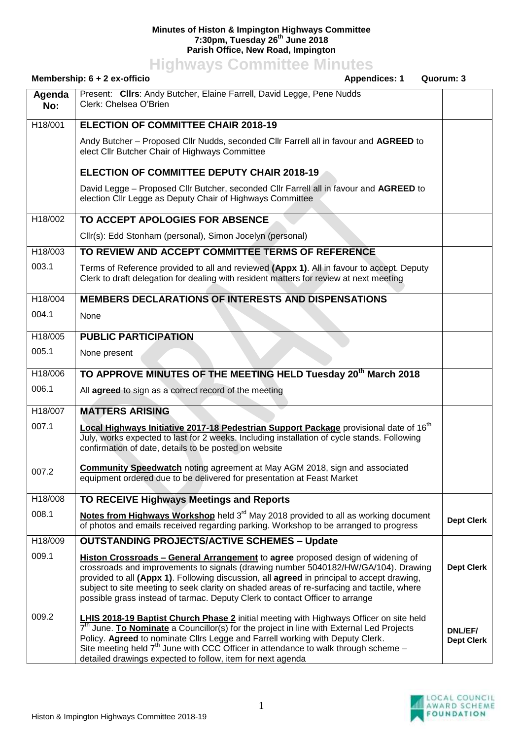## **Minutes of Histon & Impington Highways Committee 7:30pm, Tuesday 26th June 2018 Parish Office, New Road, Impington**

**Highways Committee Minutes**

|               | Membership: $6 + 2$ ex-officio<br><b>Appendices: 1</b><br>Quorum: 3                                                                                                                                                                                                                                                                                                                                                                                    |                              |
|---------------|--------------------------------------------------------------------------------------------------------------------------------------------------------------------------------------------------------------------------------------------------------------------------------------------------------------------------------------------------------------------------------------------------------------------------------------------------------|------------------------------|
| Agenda<br>No: | Present: Clirs: Andy Butcher, Elaine Farrell, David Legge, Pene Nudds<br>Clerk: Chelsea O'Brien                                                                                                                                                                                                                                                                                                                                                        |                              |
| H18/001       | <b>ELECTION OF COMMITTEE CHAIR 2018-19</b>                                                                                                                                                                                                                                                                                                                                                                                                             |                              |
|               | Andy Butcher - Proposed Cllr Nudds, seconded Cllr Farrell all in favour and AGREED to<br>elect Cllr Butcher Chair of Highways Committee                                                                                                                                                                                                                                                                                                                |                              |
|               | <b>ELECTION OF COMMITTEE DEPUTY CHAIR 2018-19</b>                                                                                                                                                                                                                                                                                                                                                                                                      |                              |
|               | David Legge – Proposed Cllr Butcher, seconded Cllr Farrell all in favour and AGREED to<br>election Cllr Legge as Deputy Chair of Highways Committee                                                                                                                                                                                                                                                                                                    |                              |
| H18/002       | TO ACCEPT APOLOGIES FOR ABSENCE                                                                                                                                                                                                                                                                                                                                                                                                                        |                              |
|               | Cllr(s): Edd Stonham (personal), Simon Jocelyn (personal)                                                                                                                                                                                                                                                                                                                                                                                              |                              |
| H18/003       | TO REVIEW AND ACCEPT COMMITTEE TERMS OF REFERENCE                                                                                                                                                                                                                                                                                                                                                                                                      |                              |
| 003.1         | Terms of Reference provided to all and reviewed (Appx 1). All in favour to accept. Deputy<br>Clerk to draft delegation for dealing with resident matters for review at next meeting                                                                                                                                                                                                                                                                    |                              |
| H18/004       | <b>MEMBERS DECLARATIONS OF INTERESTS AND DISPENSATIONS</b>                                                                                                                                                                                                                                                                                                                                                                                             |                              |
| 004.1         | None                                                                                                                                                                                                                                                                                                                                                                                                                                                   |                              |
| H18/005       | <b>PUBLIC PARTICIPATION</b>                                                                                                                                                                                                                                                                                                                                                                                                                            |                              |
| 005.1         | None present                                                                                                                                                                                                                                                                                                                                                                                                                                           |                              |
| H18/006       | TO APPROVE MINUTES OF THE MEETING HELD Tuesday 20 <sup>th</sup> March 2018                                                                                                                                                                                                                                                                                                                                                                             |                              |
| 006.1         | All agreed to sign as a correct record of the meeting                                                                                                                                                                                                                                                                                                                                                                                                  |                              |
| H18/007       | <b>MATTERS ARISING</b>                                                                                                                                                                                                                                                                                                                                                                                                                                 |                              |
| 007.1         | Local Highways Initiative 2017-18 Pedestrian Support Package provisional date of 16 <sup>th</sup><br>July, works expected to last for 2 weeks. Including installation of cycle stands. Following<br>confirmation of date, details to be posted on website                                                                                                                                                                                              |                              |
| 007.2         | <b>Community Speedwatch noting agreement at May AGM 2018, sign and associated</b><br>equipment ordered due to be delivered for presentation at Feast Market                                                                                                                                                                                                                                                                                            |                              |
| H18/008       | TO RECEIVE Highways Meetings and Reports                                                                                                                                                                                                                                                                                                                                                                                                               |                              |
| 008.1         | Notes from Highways Workshop held $3rd$ May 2018 provided to all as working document<br>of photos and emails received regarding parking. Workshop to be arranged to progress                                                                                                                                                                                                                                                                           | <b>Dept Clerk</b>            |
| H18/009       | <b>OUTSTANDING PROJECTS/ACTIVE SCHEMES - Update</b>                                                                                                                                                                                                                                                                                                                                                                                                    |                              |
| 009.1         | Histon Crossroads - General Arrangement to agree proposed design of widening of<br>crossroads and improvements to signals (drawing number 5040182/HW/GA/104). Drawing<br>provided to all (Appx 1). Following discussion, all agreed in principal to accept drawing,<br>subject to site meeting to seek clarity on shaded areas of re-surfacing and tactile, where<br>possible grass instead of tarmac. Deputy Clerk to contact Officer to arrange      | <b>Dept Clerk</b>            |
| 009.2         | <b>LHIS 2018-19 Baptist Church Phase 2</b> initial meeting with Highways Officer on site held<br>7 <sup>th</sup> June. To Nominate a Councillor(s) for the project in line with External Led Projects<br>Policy. Agreed to nominate Cllrs Legge and Farrell working with Deputy Clerk.<br>Site meeting held 7 <sup>th</sup> June with CCC Officer in attendance to walk through scheme -<br>detailed drawings expected to follow, item for next agenda | DNL/EF/<br><b>Dept Clerk</b> |